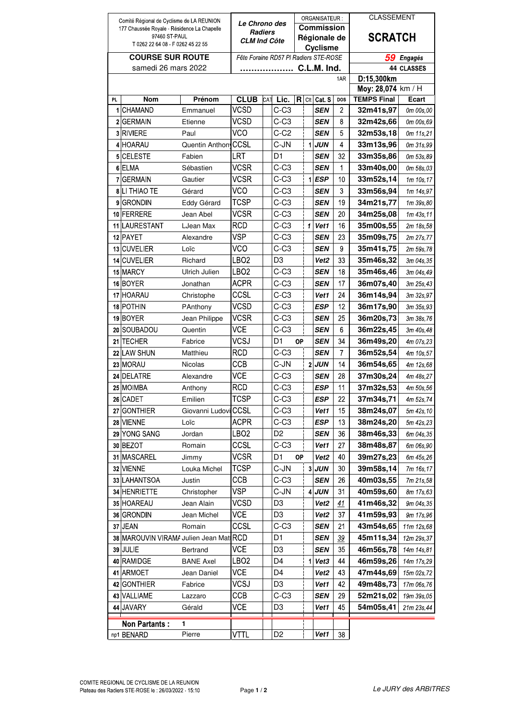| Comité Régional de Cyclisme de LA REUNION          |                                    |                        |                                               |  |                          | ORGANISATEUR: |                 |                   |                | <b>CLASSEMENT</b>        |                         |
|----------------------------------------------------|------------------------------------|------------------------|-----------------------------------------------|--|--------------------------|---------------|-----------------|-------------------|----------------|--------------------------|-------------------------|
| 177 Chaussée Royale - Résidence La Chapelle        |                                    |                        | <i><b>Le Chrono des</b></i><br><b>Radiers</b> |  |                          |               |                 | <b>Commission</b> |                | <b>SCRATCH</b>           |                         |
| 97460 ST-PAUL<br>T 0262 22 64 08 - F 0262 45 22 55 |                                    |                        | <b>CLM Ind Côte</b>                           |  |                          |               |                 | Régionale de      |                |                          |                         |
|                                                    |                                    |                        |                                               |  |                          |               |                 | <b>Cyclisme</b>   |                |                          |                         |
| <b>COURSE SUR ROUTE</b>                            |                                    |                        | Fête Foraine RD57 PI Radiers STE-ROSE         |  |                          |               |                 |                   |                | 59<br>Engagés            |                         |
| samedi 26 mars 2022                                |                                    |                        | C.L.M. Ind.                                   |  |                          |               |                 |                   |                | 44 CLASSES<br>D:15,300km |                         |
|                                                    |                                    |                        |                                               |  |                          | 1AR           |                 |                   |                | Moy: 28,074 km / H       |                         |
| PL.                                                | Nom                                | Prénom                 | <b>CLUB</b>                                   |  | CAT Lic.                 | R             | Cl <sub>t</sub> | Cat. S            | DOS            | <b>TEMPS Final</b>       | Ecart                   |
| 1                                                  | CHAMAND                            | Emmanuel               | <b>VCSD</b>                                   |  | $C-C3$                   |               |                 | <b>SEN</b>        | 2              | 32m41s,97                | 0m 00s,00               |
|                                                    | 2 GERMAIN                          | Etienne                | VCSD                                          |  | $C-C3$                   |               |                 | <b>SEN</b>        | 8              | 32m42s,66                | 0m 00s,69               |
|                                                    | 3 RIVIERE                          | Paul                   | <b>VCO</b>                                    |  | $C-C2$                   |               |                 | SEN               | 5              | 32m53s,18                | 0m 11s, 21              |
|                                                    | 4 HOARAU                           | Quentin Anthony        | CCSL                                          |  | C-JN                     |               |                 | $1$ JUN           | 4              | 33m13s,96                | 0m 31s,99               |
| 5                                                  | <b>CELESTE</b>                     | Fabien                 | LRT                                           |  | D1                       |               |                 | <b>SEN</b>        | 32             | 33m35s,86                | 0m 53s,89               |
|                                                    | 6 ELMA                             | Sébastien              | <b>VCSR</b>                                   |  | $C-C3$                   |               |                 | <b>SEN</b>        | 1              | 33m40s,00                | 0m 58s,03               |
|                                                    | 7 GERMAIN                          | Gautier                | <b>VCSR</b>                                   |  | $C-C3$                   |               |                 | $1$ $ESP$         | 10             | 33m52s,14                | 1m 10s, 17              |
|                                                    | 8 LI THIAO TE                      | Gérard                 | <b>VCO</b>                                    |  | $C-C3$                   |               |                 | <b>SEN</b>        | 3              | 33m56s,94                | 1m 14s,97               |
| 9                                                  | <b>GRONDIN</b>                     | Eddy Gérard            | <b>TCSP</b>                                   |  | $C-C3$                   |               |                 | <b>SEN</b>        | 19             | 34m21s,77                | 1m 39s,80               |
|                                                    | 10 FERRERE                         | Jean Abel              | <b>VCSR</b>                                   |  | $C-C3$                   |               |                 | <b>SEN</b>        | 20             | 34m25s,08                | 1m 43s.11               |
|                                                    | 11 LAURESTANT                      | LJean Max              | <b>RCD</b>                                    |  | $C-C3$                   |               | 1               | Vet1              | 16             | 35m00s,55                | 2m 18s,58               |
|                                                    | 12 PAYET                           | Alexandre              | <b>VSP</b>                                    |  | $C-C3$                   |               |                 | <b>SEN</b>        | 23             | 35m09s,75                | 2m 27s, 77              |
| 13                                                 | <b>CUVELIER</b>                    | Loïc                   | VCO                                           |  | $C-C3$                   |               |                 | SEN               | 9              | 35m41s,75                | 2m 59s,78               |
|                                                    | 14 CUVELIER                        | Richard                | LBO <sub>2</sub>                              |  | D <sub>3</sub>           |               |                 | Vet2              | 33             | 35m46s,32                | 3m 04s, 35              |
|                                                    | 15 MARCY                           | Ulrich Julien          | LBO <sub>2</sub>                              |  | $C-C3$                   |               |                 | <b>SEN</b>        | 18             | 35m46s,46                | 3m 04s,49               |
|                                                    | 16 BOYER                           |                        | <b>ACPR</b>                                   |  | $C-C3$                   |               |                 | <b>SEN</b>        | 17             | 36m07s,40                |                         |
|                                                    | 17 HOARAU                          | Jonathan               | CCSL                                          |  | $C-C3$                   |               |                 | Vet1              | 24             | 36m14s,94                | 3m 25s, 43              |
|                                                    | 18 POTHIN                          | Christophe<br>PAnthony | <b>VCSD</b>                                   |  | $C-C3$                   |               |                 | <b>ESP</b>        | 12             | 36m17s,90                | 3m 32s,97<br>3m 35s, 93 |
|                                                    |                                    |                        | <b>VCSR</b>                                   |  |                          |               |                 |                   | 25             |                          |                         |
|                                                    | 19 BOYER<br> SOUBADOU              | Jean Philippe          | VCE                                           |  | $C-C3$                   |               |                 | SEN               | 6              | 36m20s,73                | 3m 38s,76               |
| 20                                                 | <b>TECHER</b>                      | Quentin                | <b>VCSJ</b>                                   |  | $C-C3$<br>D <sub>1</sub> |               |                 | SEN               | 34             | 36m22s,45                | 3m 40s, 48              |
| 21                                                 |                                    | Fabrice                | <b>RCD</b>                                    |  |                          | <b>OP</b>     |                 | <b>SEN</b>        |                | 36m49s,20                | 4m 07s, 23              |
|                                                    | 22 LAW SHUN                        | Matthieu               | CCB                                           |  | $C-C3$                   |               |                 | <b>SEN</b>        | $\overline{7}$ | 36m52s,54                | 4m 10s, 57              |
|                                                    | 23 MORAU                           | Nicolas                |                                               |  | C-JN                     |               |                 | $2$ JUN           | 14             | 36m54s,65                | 4m 12s,68               |
|                                                    | 24 DELATRE                         | Alexandre              | <b>VCE</b>                                    |  | $C-C3$                   |               |                 | <b>SEN</b>        | 28             | 37m30s,24                | 4m 48s.27               |
|                                                    | 25 MOIMBA                          | Anthony                | <b>RCD</b>                                    |  | $C-C3$                   |               |                 | <b>ESP</b>        | 11             | 37m32s,53                | 4m 50s, 56              |
|                                                    | 26 CADET                           | Emilien                | <b>TCSP</b>                                   |  | $C-C3$                   |               |                 | <b>ESP</b>        | 22             | 37m34s,71                | 4m 52s,74               |
|                                                    | 27 GONTHIER                        | Giovanni Ludovi        | CCSL                                          |  | $C-C3$                   |               |                 | Vet1              | 15             | 38m24s,07                | 5m 42s, 10              |
|                                                    | 28 VIENNE                          | Loïc                   | <b>ACPR</b>                                   |  | $C-C3$                   |               |                 | <b>ESP</b>        | 13             | 38m24s,20                | 5m 42s, 23              |
|                                                    | 29 YONG SANG                       | Jordan                 | LBO <sub>2</sub>                              |  | D <sub>2</sub>           |               |                 | <b>SEN</b>        | 36             | 38m46s,33                | 6m 04s, 35              |
|                                                    | 30 BEZOT                           | Romain                 | CCSL                                          |  | $C-C3$                   |               |                 | Vet1              | 27             | 38m48s,87                | 6m 06s,90               |
|                                                    | 31 MASCAREL                        | Jimmy                  | VCSR                                          |  | D1                       | OP            |                 | Vet <sub>2</sub>  | 40             | 39m27s,23                | 6m 45s, 26              |
|                                                    | 32 VIENNE                          | Louka Michel           | TCSP                                          |  | C-JN                     |               |                 | $3$ JUN           | 30             | 39m58s,14                | 7m 16s,17               |
|                                                    | 33 LAHANTSOA                       | Justin                 | CCB                                           |  | C-C3                     |               |                 | <b>SEN</b>        | 26             | 40m03s,55                | 7m 21s,58               |
|                                                    | 34 HENRIETTE                       | Christopher            | VSP                                           |  | C-JN                     |               |                 | 4 JUN             | 31             | 40m59s,60                | 8m 17s,63               |
|                                                    | 35 HOAREAU                         | Jean Alain             | VCSD                                          |  | D3                       |               |                 | Vet <sub>2</sub>  | 41             | 41m46s,32                | 9m 04s.35               |
|                                                    | 36 GRONDIN                         | Jean Michel            | VCE                                           |  | D <sub>3</sub>           |               |                 | Vet <sub>2</sub>  | 37             | 41m59s,93                | 9m 17s,96               |
|                                                    | 37 JEAN                            | Romain                 | CCSL                                          |  | $C-C3$                   |               |                 | <b>SEN</b>        | 21             | 43m54s,65                | 11m 12s,68              |
|                                                    | 38 MAROUVIN VIRAMA Julien Jean Mat |                        | <b>RCD</b>                                    |  | D1                       |               |                 | <b>SEN</b>        | 39             | 45m11s,34                | 12m 29s, 37             |
|                                                    | 39 JULIE                           | Bertrand               | <b>VCE</b>                                    |  | D3                       |               |                 | <b>SEN</b>        | 35             | 46m56s,78                | 14m 14s, 81             |
|                                                    | 40 RAMIDGE                         | <b>BANE Axel</b>       | LBO <sub>2</sub>                              |  | D4                       |               | 11              | Vet3              | 44             | 46m59s,26                | 14m 17s, 29             |
|                                                    | 41 ARMOET                          | Jean Daniel            | VCE                                           |  | D4                       |               |                 | Vet <sub>2</sub>  | 43             | 47m44s,69                | 15m 02s, 72             |
|                                                    | 42 GONTHIER                        | Fabrice                | VCSJ                                          |  | D <sub>3</sub>           |               |                 | Vet1              | 42             | 49m48s,73                | 17m 06s,76              |
|                                                    | 43 VALLIAME                        | Lazzaro                | CCB                                           |  | $C-C3$                   |               |                 | <b>SEN</b>        | 29             | 52m21s,02                | 19m 39s,05              |
|                                                    | 44 JAVARY                          | Gérald                 | VCE                                           |  | D3                       |               |                 | Vet1              | 45             | 54m05s,41                | 21m 23s,44              |
|                                                    | <b>Non Partants:</b>               | 1                      |                                               |  |                          |               |                 |                   |                |                          |                         |
|                                                    | np1 BENARD                         | Pierre                 | VTTL                                          |  | D <sub>2</sub>           |               |                 | Vet1              | 38             |                          |                         |